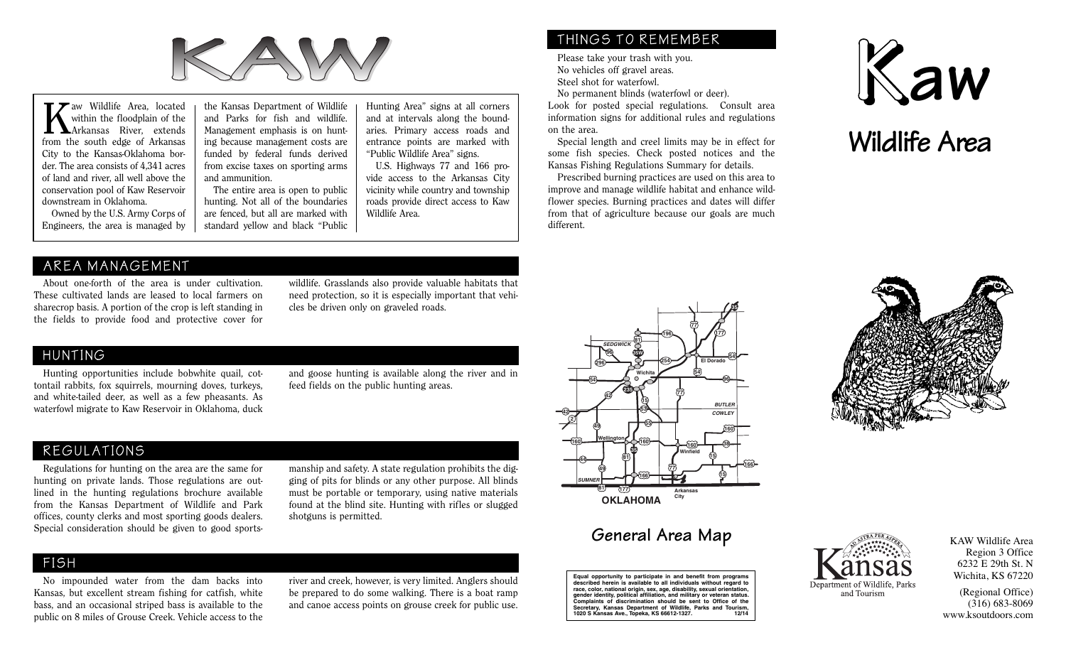

within the floodplain of the Arkansas River, extends from the south edge of Arkansas City to the Kansas-Oklahoma border. The area consists of 4,341 acres of land and river, all well above the conservation pool of Kaw Reservoir downstream in Oklahoma.

Owned by the U.S. Army Corps of Engineers, the area is managed by

Wildlife Area, located the Kansas Department of Wildlife Hunting Area" signs at all corners within the floodplain of the and Parks for fish and wildlife. and at intervals along the bound-<br>
Arkansas River, extends Managemen the Kansas Department of Wildlife and Parks for fish and wildlife. Management emphasis is on hunting because management costs are funded by federal funds derived from excise taxes on sporting arms and ammunition.

> The entire area is open to public hunting. Not all of the boundaries are fenced, but all are marked with standard yellow and black "Public

Hunting Area" signs at all corners and at intervals along the boundaries. Primary access roads and entrance points are marked with "Public Wildlife Area" signs.

U.S. Highways 77 and 166 provide access to the Arkansas City vicinity while country and township roads provide direct access to Kaw Wildlife Area.

## THINGS TO REMEMBER

Please take your trash with you. No vehicles off gravel areas. Steel shot for waterfowl.

No permanent blinds (waterfowl or deer).

Look for posted special regulations. Consult area information signs for additional rules and regulations on the area.

Special length and creel limits may be in effect for some fish species. Check posted notices and the Kansas Fishing Regulations Summary for details.

Prescribed burning practices are used on this area to improve and manage wildlife habitat and enhance wildflower species. Burning practices and dates will differ from that of agriculture because our goals are much different.





#### AREA MANAGEMENT

About one-forth of the area is under cultivation. These cultivated lands are leased to local farmers on sharecrop basis. A portion of the crop is left standing in the fields to provide food and protective cover for

wildlife. Grasslands also provide valuable habitats that need protection, so it is especially important that vehicles be driven only on graveled roads.

#### HUNTING

Hunting opportunities include bobwhite quail, cottontail rabbits, fox squirrels, mourning doves, turkeys, and white-tailed deer, as well as a few pheasants. As waterfowl migrate to Kaw Reservoir in Oklahoma, duck and goose hunting is available along the river and in feed fields on the public hunting areas.

## REGULATIONS

Regulations for hunting on the area are the same for hunting on private lands. Those regulations are outlined in the hunting regulations brochure available from the Kansas Department of Wildlife and Park offices, county clerks and most sporting goods dealers. Special consideration should be given to good sportsmanship and safety. A state regulation prohibits the digging of pits for blinds or any other purpose. All blinds must be portable or temporary, using native materials found at the blind site. Hunting with rifles or slugged shotguns is permitted.

## FISH

No impounded water from the dam backs into Kansas, but excellent stream fishing for catfish, white bass, and an occasional striped bass is available to the public on 8 miles of Grouse Creek. Vehicle access to the

river and creek, however, is very limited. Anglers should be prepared to do some walking. There is a boat ramp and canoe access points on grouse creek for public use.



# **General Area Map**

**Equal opportunity to participate in and benefit from programs described herein is available to all individuals without regard to race, color, national origin, sex, age, disability, sexual orientation, gender identity, political affiliation, and military or veteran status. Complaints of discrimination should be sent to Office of the Secretary, Kansas Department of Wildlife, Parks and Tourism, 1020 S Kansas Ave., Topeka, KS 66612-1327. 12/14**





KAW Wildlife Area Region 3 Office 6232 E 29th St. N Wichita, KS 67220

(Regional Office) (316) 683-8069 www.ksoutdoors.com